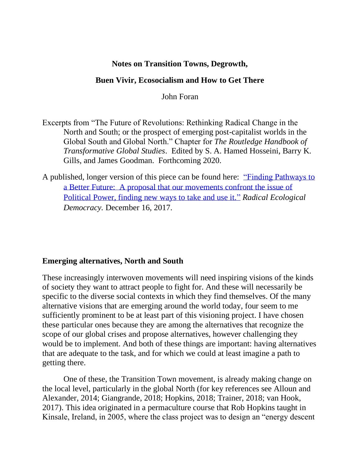## **Notes on Transition Towns, Degrowth,**

## **Buen Vivir, Ecosocialism and How to Get There**

John Foran

- Excerpts from "The Future of Revolutions: Rethinking Radical Change in the North and South; or the prospect of emerging post-capitalist worlds in the Global South and Global North." Chapter for *The Routledge Handbook of Transformative Global Studies*. Edited by S. A. Hamed Hosseini, Barry K. Gills, and James Goodman. Forthcoming 2020.
- A published, longer version of this piece can be found here: ["Finding Pathways](http://www.radicalecologicaldemocracy.org/finding-pathways-to-a-better-future/) to [a Better Future: A proposal that our movements confront the issue of](http://www.radicalecologicaldemocracy.org/finding-pathways-to-a-better-future/)  [Political Power, finding new ways to take and use it](http://www.radicalecologicaldemocracy.org/finding-pathways-to-a-better-future/)*.*" *Radical Ecological Democracy.* December 16, 2017.

## **Emerging alternatives, North and South**

These increasingly interwoven movements will need inspiring visions of the kinds of society they want to attract people to fight for. And these will necessarily be specific to the diverse social contexts in which they find themselves. Of the many alternative visions that are emerging around the world today, four seem to me sufficiently prominent to be at least part of this visioning project. I have chosen these particular ones because they are among the alternatives that recognize the scope of our global crises and propose alternatives, however challenging they would be to implement. And both of these things are important: having alternatives that are adequate to the task, and for which we could at least imagine a path to getting there.

One of these, the Transition Town movement, is already making change on the local level, particularly in the global North (for key references see Alloun and Alexander, 2014; Giangrande, 2018; Hopkins, 2018; Trainer, 2018; van Hook, 2017). This idea originated in a permaculture course that Rob Hopkins taught in Kinsale, Ireland, in 2005, where the class project was to design an "energy descent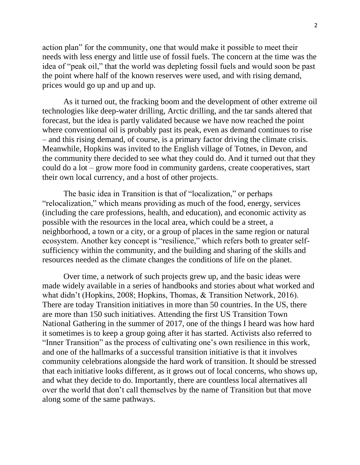action plan" for the community, one that would make it possible to meet their needs with less energy and little use of fossil fuels. The concern at the time was the idea of "peak oil," that the world was depleting fossil fuels and would soon be past the point where half of the known reserves were used, and with rising demand, prices would go up and up and up.

As it turned out, the fracking boom and the development of other extreme oil technologies like deep-water drilling, Arctic drilling, and the tar sands altered that forecast, but the idea is partly validated because we have now reached the point where conventional oil is probably past its peak, even as demand continues to rise – and this rising demand, of course, is a primary factor driving the climate crisis. Meanwhile, Hopkins was invited to the English village of Totnes, in Devon, and the community there decided to see what they could do. And it turned out that they could do a lot – grow more food in community gardens, create cooperatives, start their own local currency, and a host of other projects.

The basic idea in Transition is that of "localization," or perhaps "relocalization," which means providing as much of the food, energy, services (including the care professions, health, and education), and economic activity as possible with the resources in the local area, which could be a street, a neighborhood, a town or a city, or a group of places in the same region or natural ecosystem. Another key concept is "resilience," which refers both to greater selfsufficiency within the community, and the building and sharing of the skills and resources needed as the climate changes the conditions of life on the planet.

Over time, a network of such projects grew up, and the basic ideas were made widely available in a series of handbooks and stories about what worked and what didn't (Hopkins, 2008; Hopkins, Thomas, & Transition Network, 2016). There are today Transition initiatives in more than 50 countries. In the US, there are more than 150 such initiatives. Attending the first US Transition Town National Gathering in the summer of 2017, one of the things I heard was how hard it sometimes is to keep a group going after it has started. Activists also referred to "Inner Transition" as the process of cultivating one's own resilience in this work, and one of the hallmarks of a successful transition initiative is that it involves community celebrations alongside the hard work of transition. It should be stressed that each initiative looks different, as it grows out of local concerns, who shows up, and what they decide to do. Importantly, there are countless local alternatives all over the world that don't call themselves by the name of Transition but that move along some of the same pathways.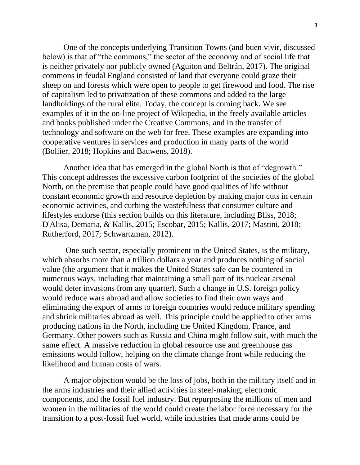One of the concepts underlying Transition Towns (and buen vivir, discussed below) is that of "the commons," the sector of the economy and of social life that is neither privately nor publicly owned (Aguiton and Beltrán, 2017). The original commons in feudal England consisted of land that everyone could graze their sheep on and forests which were open to people to get firewood and food. The rise of capitalism led to privatization of these commons and added to the large landholdings of the rural elite. Today, the concept is coming back. We see examples of it in the on-line project of Wikipedia, in the freely available articles and books published under the Creative Commons, and in the transfer of technology and software on the web for free. These examples are expanding into cooperative ventures in services and production in many parts of the world (Bollier, 2018; Hopkins and Bauwens, 2018).

Another idea that has emerged in the global North is that of "degrowth." This concept addresses the excessive carbon footprint of the societies of the global North, on the premise that people could have good qualities of life without constant economic growth and resource depletion by making major cuts in certain economic activities, and curbing the wastefulness that consumer culture and lifestyles endorse (this section builds on this literature, including Bliss, 2018; D'Alisa, Demaria, & Kallis, 2015; Escobar, 2015; Kallis, 2017; Mastini, 2018; Rutherford, 2017; Schwartzman, 2012).

One such sector, especially prominent in the United States, is the military, which absorbs more than a trillion dollars a year and produces nothing of social value (the argument that it makes the United States safe can be countered in numerous ways, including that maintaining a small part of its nuclear arsenal would deter invasions from any quarter). Such a change in U.S. foreign policy would reduce wars abroad and allow societies to find their own ways and eliminating the export of arms to foreign countries would reduce military spending and shrink militaries abroad as well. This principle could be applied to other arms producing nations in the North, including the United Kingdom, France, and Germany. Other powers such as Russia and China might follow suit, with much the same effect. A massive reduction in global resource use and greenhouse gas emissions would follow, helping on the climate change front while reducing the likelihood and human costs of wars.

A major objection would be the loss of jobs, both in the military itself and in the arms industries and their allied activities in steel-making, electronic components, and the fossil fuel industry. But repurposing the millions of men and women in the militaries of the world could create the labor force necessary for the transition to a post-fossil fuel world, while industries that made arms could be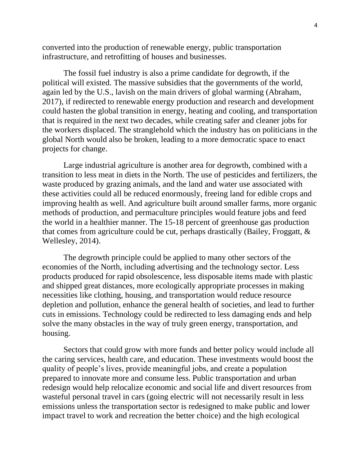converted into the production of renewable energy, public transportation infrastructure, and retrofitting of houses and businesses.

The fossil fuel industry is also a prime candidate for degrowth, if the political will existed. The massive subsidies that the governments of the world, again led by the U.S., lavish on the main drivers of global warming (Abraham, 2017), if redirected to renewable energy production and research and development could hasten the global transition in energy, heating and cooling, and transportation that is required in the next two decades, while creating safer and cleaner jobs for the workers displaced. The stranglehold which the industry has on politicians in the global North would also be broken, leading to a more democratic space to enact projects for change.

Large industrial agriculture is another area for degrowth, combined with a transition to less meat in diets in the North. The use of pesticides and fertilizers, the waste produced by grazing animals, and the land and water use associated with these activities could all be reduced enormously, freeing land for edible crops and improving health as well. And agriculture built around smaller farms, more organic methods of production, and permaculture principles would feature jobs and feed the world in a healthier manner. The 15-18 percent of greenhouse gas production that comes from agriculture could be cut, perhaps drastically (Bailey, Froggatt, & Wellesley, 2014).

The degrowth principle could be applied to many other sectors of the economies of the North, including advertising and the technology sector. Less products produced for rapid obsolescence, less disposable items made with plastic and shipped great distances, more ecologically appropriate processes in making necessities like clothing, housing, and transportation would reduce resource depletion and pollution, enhance the general health of societies, and lead to further cuts in emissions. Technology could be redirected to less damaging ends and help solve the many obstacles in the way of truly green energy, transportation, and housing.

Sectors that could grow with more funds and better policy would include all the caring services, health care, and education. These investments would boost the quality of people's lives, provide meaningful jobs, and create a population prepared to innovate more and consume less. Public transportation and urban redesign would help relocalize economic and social life and divert resources from wasteful personal travel in cars (going electric will not necessarily result in less emissions unless the transportation sector is redesigned to make public and lower impact travel to work and recreation the better choice) and the high ecological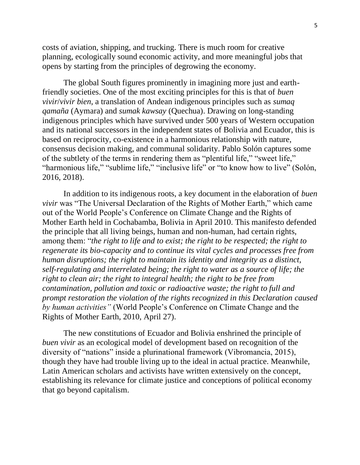costs of aviation, shipping, and trucking. There is much room for creative planning, ecologically sound economic activity, and more meaningful jobs that opens by starting from the principles of degrowing the economy.

The global South figures prominently in imagining more just and earthfriendly societies. One of the most exciting principles for this is that of *buen vivir*/*vivir bien*, a translation of Andean indigenous principles such as *sumaq qamaña* (Aymara) and *sumak kawsay* (Quechua). Drawing on long-standing indigenous principles which have survived under 500 years of Western occupation and its national successors in the independent states of Bolivia and Ecuador, this is based on reciprocity, co-existence in a harmonious relationship with nature, consensus decision making, and communal solidarity. Pablo Solón captures some of the subtlety of the terms in rendering them as "plentiful life," "sweet life," "harmonious life," "sublime life," "inclusive life" or "to know how to live" (Solón, 2016, 2018).

In addition to its indigenous roots, a key document in the elaboration of *buen vivir* was "The Universal Declaration of the Rights of Mother Earth," which came out of the World People's Conference on Climate Change and the Rights of Mother Earth held in Cochabamba, Bolivia in April 2010. This manifesto defended the principle that all living beings, human and non-human, had certain rights, among them: "*the right to life and to exist; the right to be respected; the right to regenerate its bio-capacity and to continue its vital cycles and processes free from human disruptions; the right to maintain its identity and integrity as a distinct, self-regulating and interrelated being; the right to water as a source of life; the right to clean air; the right to integral health; the right to be free from contamination, pollution and toxic or radioactive waste; the right to full and prompt restoration the violation of the rights recognized in this Declaration caused by human activities"* (World People's Conference on Climate Change and the Rights of Mother Earth, 2010, April 27).

The new constitutions of Ecuador and Bolivia enshrined the principle of *buen vivir* as an ecological model of development based on recognition of the diversity of "nations" inside a plurinational framework (Vibromancia, 2015), though they have had trouble living up to the ideal in actual practice. Meanwhile, Latin American scholars and activists have written extensively on the concept, establishing its relevance for climate justice and conceptions of political economy that go beyond capitalism.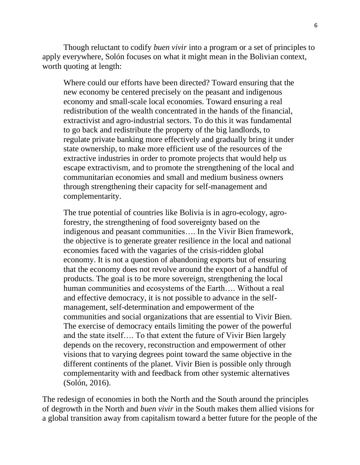Though reluctant to codify *buen vivir* into a program or a set of principles to apply everywhere, Solón focuses on what it might mean in the Bolivian context, worth quoting at length:

Where could our efforts have been directed? Toward ensuring that the new economy be centered precisely on the peasant and indigenous economy and small-scale local economies. Toward ensuring a real redistribution of the wealth concentrated in the hands of the financial, extractivist and agro-industrial sectors. To do this it was fundamental to go back and redistribute the property of the big landlords, to regulate private banking more effectively and gradually bring it under state ownership, to make more efficient use of the resources of the extractive industries in order to promote projects that would help us escape extractivism, and to promote the strengthening of the local and communitarian economies and small and medium business owners through strengthening their capacity for self-management and complementarity.

The true potential of countries like Bolivia is in agro-ecology, agroforestry, the strengthening of food sovereignty based on the indigenous and peasant communities…. In the Vivir Bien framework, the objective is to generate greater resilience in the local and national economies faced with the vagaries of the crisis-ridden global economy. It is not a question of abandoning exports but of ensuring that the economy does not revolve around the export of a handful of products. The goal is to be more sovereign, strengthening the local human communities and ecosystems of the Earth…. Without a real and effective democracy, it is not possible to advance in the selfmanagement, self-determination and empowerment of the communities and social organizations that are essential to Vivir Bien. The exercise of democracy entails limiting the power of the powerful and the state itself…. To that extent the future of Vivir Bien largely depends on the recovery, reconstruction and empowerment of other visions that to varying degrees point toward the same objective in the different continents of the planet. Vivir Bien is possible only through complementarity with and feedback from other systemic alternatives (Solón, 2016).

The redesign of economies in both the North and the South around the principles of degrowth in the North and *buen vivir* in the South makes them allied visions for a global transition away from capitalism toward a better future for the people of the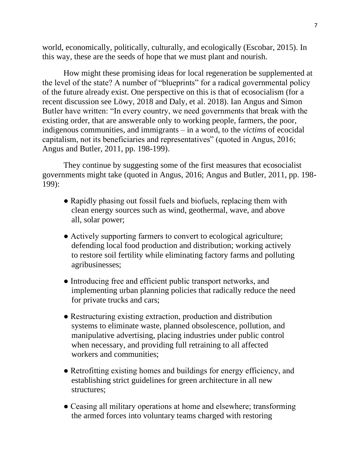world, economically, politically, culturally, and ecologically (Escobar, 2015). In this way, these are the seeds of hope that we must plant and nourish.

How might these promising ideas for local regeneration be supplemented at the level of the state? A number of "blueprints" for a radical governmental policy of the future already exist. One perspective on this is that of ecosocialism (for a recent discussion see Löwy, 2018 and Daly, et al. 2018). Ian Angus and Simon Butler have written: "In every country, we need governments that break with the existing order, that are answerable only to working people, farmers, the poor, indigenous communities, and immigrants – in a word, to the *victims* of ecocidal capitalism, not its beneficiaries and representatives" (quoted in Angus, 2016; Angus and Butler, 2011, pp. 198-199).

They continue by suggesting some of the first measures that ecosocialist governments might take (quoted in Angus, 2016; Angus and Butler, 2011, pp. 198- 199):

- Rapidly phasing out fossil fuels and biofuels, replacing them with clean energy sources such as wind, geothermal, wave, and above all, solar power;
- Actively supporting farmers to convert to ecological agriculture; defending local food production and distribution; working actively to restore soil fertility while eliminating factory farms and polluting agribusinesses;
- Introducing free and efficient public transport networks, and implementing urban planning policies that radically reduce the need for private trucks and cars;
- Restructuring existing extraction, production and distribution systems to eliminate waste, planned obsolescence, pollution, and manipulative advertising, placing industries under public control when necessary, and providing full retraining to all affected workers and communities;
- Retrofitting existing homes and buildings for energy efficiency, and establishing strict guidelines for green architecture in all new structures;
- Ceasing all military operations at home and elsewhere; transforming the armed forces into voluntary teams charged with restoring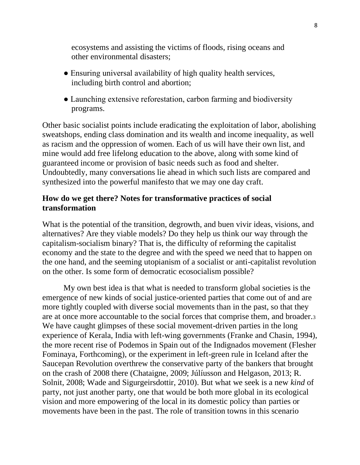ecosystems and assisting the victims of floods, rising oceans and other environmental disasters;

- Ensuring universal availability of high quality health services, including birth control and abortion;
- Launching extensive reforestation, carbon farming and biodiversity programs.

Other basic socialist points include eradicating the exploitation of labor, abolishing sweatshops, ending class domination and its wealth and income inequality, as well as racism and the oppression of women. Each of us will have their own list, and mine would add free lifelong education to the above, along with some kind of guaranteed income or provision of basic needs such as food and shelter. Undoubtedly, many conversations lie ahead in which such lists are compared and synthesized into the powerful manifesto that we may one day craft.

## **How do we get there? Notes for transformative practices of social transformation**

What is the potential of the transition, degrowth, and buen vivir ideas, visions, and alternatives? Are they viable models? Do they help us think our way through the capitalism-socialism binary? That is, the difficulty of reforming the capitalist economy and the state to the degree and with the speed we need that to happen on the one hand, and the seeming utopianism of a socialist or anti-capitalist revolution on the other. Is some form of democratic ecosocialism possible?

My own best idea is that what is needed to transform global societies is the emergence of new kinds of social justice-oriented parties that come out of and are more tightly coupled with diverse social movements than in the past, so that they are at once more accountable to the social forces that comprise them, and broader.<sup>3</sup> We have caught glimpses of these social movement-driven parties in the long experience of Kerala, India with left-wing governments (Franke and Chasin, 1994), the more recent rise of Podemos in Spain out of the Indignados movement (Flesher Fominaya, Forthcoming), or the experiment in left-green rule in Iceland after the Saucepan Revolution overthrew the conservative party of the bankers that brought on the crash of 2008 there (Chataigne, 2009; Júlíusson and Helgason, 2013; R. Solnit, 2008; Wade and Sigurgeirsdottir, 2010). But what we seek is a new *kind* of party, not just another party, one that would be both more global in its ecological vision and more empowering of the local in its domestic policy than parties or movements have been in the past. The role of transition towns in this scenario